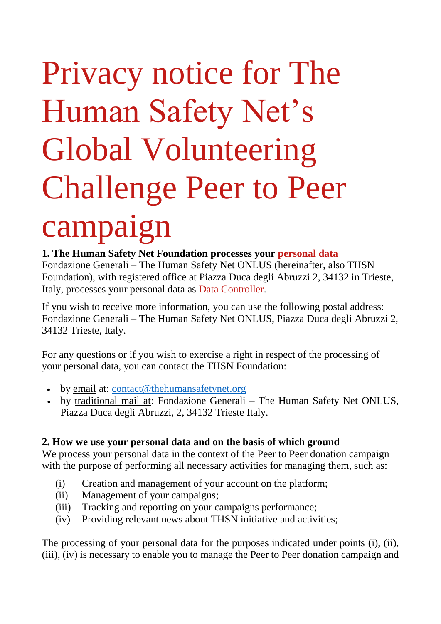# Privacy notice for The Human Safety Net's Global Volunteering Challenge Peer to Peer campaign

**1. The Human Safety Net Foundation processes your [personal data](https://www.thehumansafetynet.org/privacy-notice-for-Human-Safety-Net-s-Donors#personal-data)** Fondazione Generali – The Human Safety Net ONLUS (hereinafter, also THSN Foundation), with registered office at Piazza Duca degli Abruzzi 2, 34132 in Trieste, Italy, processes your personal data as [Data Controller.](https://www.thehumansafetynet.org/privacy-notice-for-Human-Safety-Net-s-Donors#data-controller)

If you wish to receive more information, you can use the following postal address: Fondazione Generali – The Human Safety Net ONLUS, Piazza Duca degli Abruzzi 2, 34132 Trieste, Italy.

For any questions or if you wish to exercise a right in respect of the processing of your personal data, you can contact the THSN Foundation:

- by email at: [contact@thehumansafetynet.org](mailto:contact@thehumansafetynet.org)
- by traditional mail at: Fondazione Generali The Human Safety Net ONLUS, Piazza Duca degli Abruzzi, 2, 34132 Trieste Italy.

#### **2. How we use your personal data and on the basis of which ground**

We process your personal data in the context of the Peer to Peer donation campaign with the purpose of performing all necessary activities for managing them, such as:

- (i) Creation and management of your account on the platform;
- (ii) Management of your campaigns;
- (iii) Tracking and reporting on your campaigns performance;
- (iv) Providing relevant news about THSN initiative and activities;

The processing of your personal data for the purposes indicated under points (i), (ii), (iii), (iv) is necessary to enable you to manage the Peer to Peer donation campaign and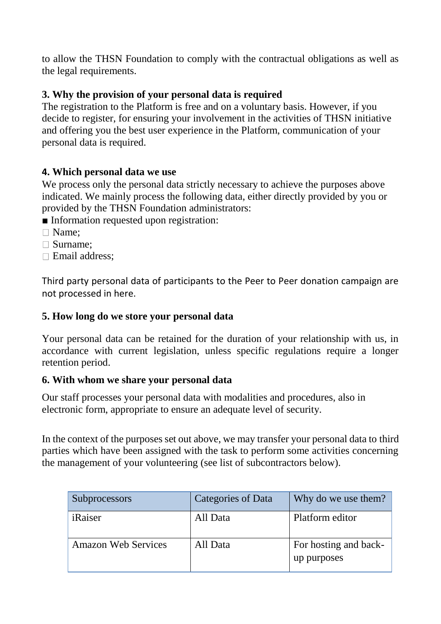to allow the THSN Foundation to comply with the contractual obligations as well as the legal requirements.

# **3. Why the provision of your personal data is required**

The registration to the Platform is free and on a voluntary basis. However, if you decide to register, for ensuring your involvement in the activities of THSN initiative and offering you the best user experience in the Platform, communication of your personal data is required.

## **4. Which personal data we use**

We process only the personal data strictly necessary to achieve the purposes above indicated. We mainly process the following data, either directly provided by you or provided by the THSN Foundation administrators:

■ Information requested upon registration:

- □ Name:
- Surname;
- Email address;

Third party personal data of participants to the Peer to Peer donation campaign are not processed in here.

## **5. How long do we store your personal data**

Your personal data can be retained for the duration of your relationship with us, in accordance with current legislation, unless specific regulations require a longer retention period.

#### **6. With whom we share your personal data**

Our staff processes your personal data with modalities and procedures, also in electronic form, appropriate to ensure an adequate level of security.

In the context of the purposes set out above, we may transfer your personal data to third parties which have been assigned with the task to perform some activities concerning the management of your volunteering (see list of subcontractors below).

| <b>Subprocessors</b>       | <b>Categories of Data</b> | Why do we use them?                  |
|----------------------------|---------------------------|--------------------------------------|
| iRaiser                    | All Data                  | Platform editor                      |
| <b>Amazon Web Services</b> | All Data                  | For hosting and back-<br>up purposes |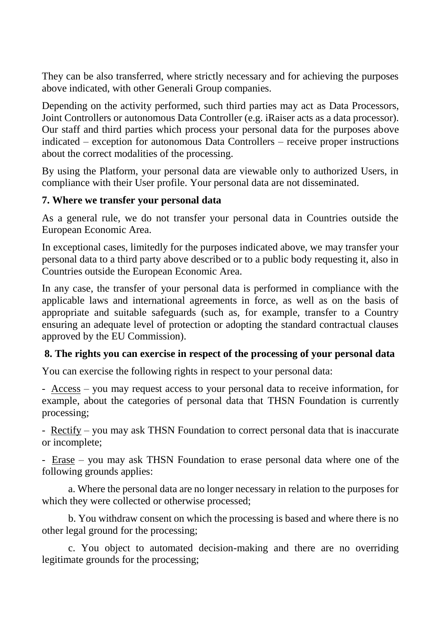They can be also transferred, where strictly necessary and for achieving the purposes above indicated, with other Generali Group companies.

Depending on the activity performed, such third parties may act as [Data Processors,](https://www.thehumansafetynet.org/app-privacy-note#data-processor) [Joint Controllers](https://www.thehumansafetynet.org/app-privacy-note#joint-controller) or autonomous Data Controller (e.g. iRaiser acts as a data processor). Our staff and third parties which process your personal data for the purposes above indicated – exception for autonomous Data Controllers – receive proper instructions about the correct modalities of the processing.

By using the Platform, your personal data are viewable only to authorized Users, in compliance with their User profile. Your personal data are not disseminated.

#### **7. Where we transfer your personal data**

As a general rule, we do not transfer your personal data in Countries outside the European Economic Area.

In exceptional cases, limitedly for the purposes indicated above, we may transfer your personal data to a third party above described or to a public body requesting it, also in Countries outside the European Economic Area.

In any case, the transfer of your personal data is performed in compliance with the applicable laws and international agreements in force, as well as on the basis of appropriate and suitable safeguards (such as, for example, transfer to a Country ensuring an adequate level of protection or adopting the standard contractual clauses approved by the EU Commission).

#### **8. The rights you can exercise in respect of the processing of your personal data**

You can exercise the following rights in respect to your personal data:

- Access – you may request access to your personal data to receive information, for example, about the categories of personal data that THSN Foundation is currently processing;

- Rectify – you may ask THSN Foundation to correct personal data that is inaccurate or incomplete;

- Erase – you may ask THSN Foundation to erase personal data where one of the following grounds applies:

a. Where the personal data are no longer necessary in relation to the purposes for which they were collected or otherwise processed;

b. You withdraw consent on which the processing is based and where there is no other legal ground for the processing;

c. You object to automated decision-making and there are no overriding legitimate grounds for the processing;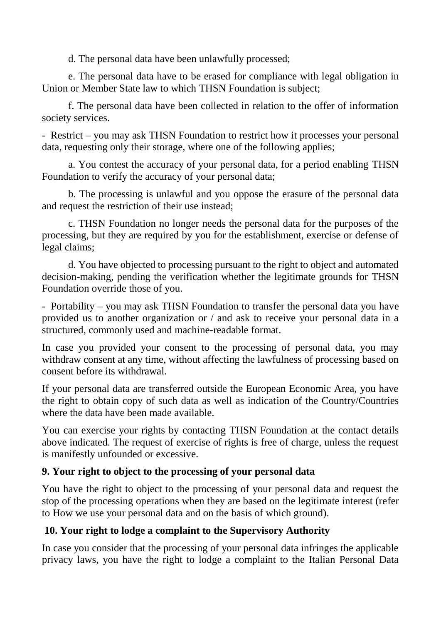d. The personal data have been unlawfully processed;

e. The personal data have to be erased for compliance with legal obligation in Union or Member State law to which THSN Foundation is subject;

f. The personal data have been collected in relation to the offer of information society services.

- Restrict – you may ask THSN Foundation to restrict how it processes your personal data, requesting only their storage, where one of the following applies;

a. You contest the accuracy of your personal data, for a period enabling THSN Foundation to verify the accuracy of your personal data;

b. The processing is unlawful and you oppose the erasure of the personal data and request the restriction of their use instead;

c. THSN Foundation no longer needs the personal data for the purposes of the processing, but they are required by you for the establishment, exercise or defense of legal claims;

d. You have objected to processing pursuant to the right to object and automated decision-making, pending the verification whether the legitimate grounds for THSN Foundation override those of you.

- Portability – you may ask THSN Foundation to transfer the personal data you have provided us to another organization or / and ask to receive your personal data in a structured, commonly used and machine-readable format.

In case you provided your consent to the processing of personal data, you may withdraw consent at any time, without affecting the lawfulness of processing based on consent before its withdrawal.

If your personal data are transferred outside the European Economic Area, you have the right to obtain copy of such data as well as indication of the Country/Countries where the data have been made available.

You can exercise your rights by contacting THSN Foundation at the contact details above indicated. The request of exercise of rights is free of charge, unless the request is manifestly unfounded or excessive.

## **9. Your right to object to the processing of your personal data**

You have the right to object to the processing of your personal data and request the stop of the processing operations when they are based on the legitimate interest (refer to How we use your personal data and on the basis of which ground).

## **10. Your right to lodge a complaint to the Supervisory Authority**

In case you consider that the processing of your personal data infringes the applicable privacy laws, you have the right to lodge a complaint to the Italian Personal Data